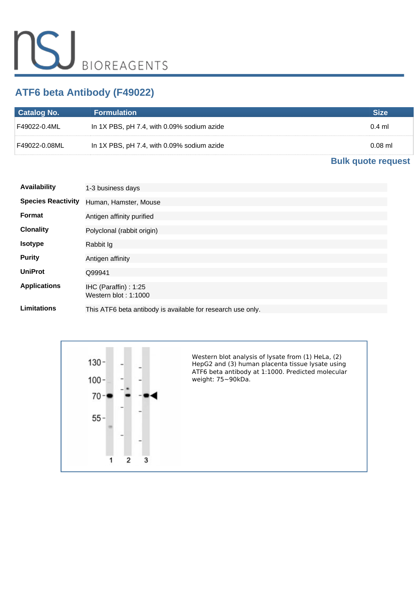# **ATF6 beta Antibody (F49022)**

| <b>Catalog No.</b> | <b>Formulation</b>                         | Size      |
|--------------------|--------------------------------------------|-----------|
| F49022-0.4ML !     | In 1X PBS, pH 7.4, with 0.09% sodium azide | $0.4$ ml  |
| F49022-0.08ML⊺     | In 1X PBS, pH 7.4, with 0.09% sodium azide | $0.08$ ml |

## **[Bulk quote request](https://www.nsjbio.com/bulk_quotereq.php?root_cat_no=F49022)**

| <b>Availability</b>       | 1-3 business days                                           |
|---------------------------|-------------------------------------------------------------|
| <b>Species Reactivity</b> | Human, Hamster, Mouse                                       |
| Format                    | Antigen affinity purified                                   |
| <b>Clonality</b>          | Polyclonal (rabbit origin)                                  |
| <b>Isotype</b>            | Rabbit Ig                                                   |
| <b>Purity</b>             | Antigen affinity                                            |
| <b>UniProt</b>            | Q99941                                                      |
| <b>Applications</b>       | IHC (Paraffin): 1:25<br>Western blot: $1:1000$              |
| Limitations               | This ATF6 beta antibody is available for research use only. |

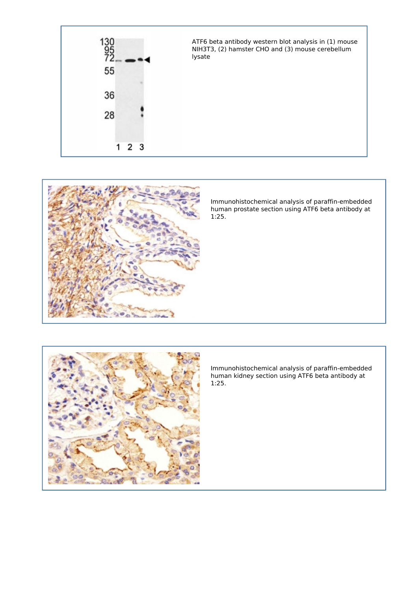



*Immunohistochemical analysis of paraffin-embedded human prostate section using ATF6 beta antibody at 1:25.*



*Immunohistochemical analysis of paraffin-embedded human kidney section using ATF6 beta antibody at 1:25.*